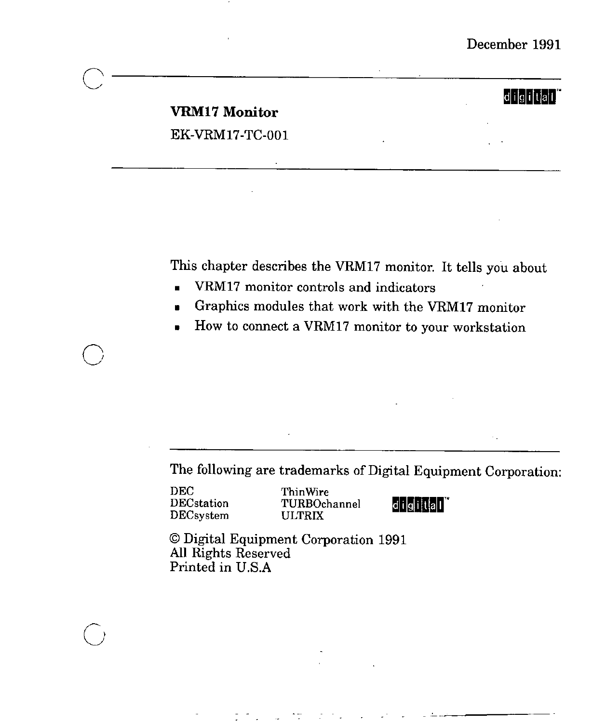## *<u>digital</u>*

## **VRM17 Monitor** EK-VRM17-TC-001

This chapter describes the VRM17 monitor. It tells you about

- VRM17 monitor controls and indicators
- **■** Graphics modules that work with the VRM17 monitor
- How to connect a VRM17 monitor to your workstation

The following are trademarks of Digital Equipment Corporation:

DEC DECstation DECsystem

 $\bigcirc$ 

 $\bigcirc$ 

Thin Wire TURBOchannel ULTRIX

digital<sup>"</sup>

© Digital Equipment Corporation 1991 **All** Rights Reserved Printed **in** U.S.A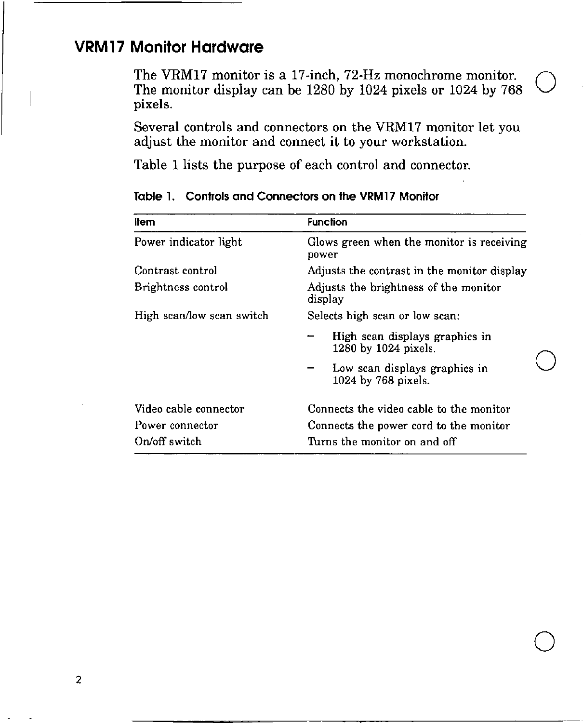# **VRM 17 Monitor Hardware**

The VRM17 monitor is a 17-inch, 72-Hz monochrome monitor. The monitor display can be 1280 by 1024 pixels or 1024 by 768 **pixels.** 

 $\bigcirc$ 

 $\bigcirc$ 

 $\bigcirc$ 

Several controls and connectors on the VRM17 monitor let you adjust the monitor and connect it to your workstation.

Table 1 lists the purpose of each control and connector.

| ltem                      | <b>Function</b>                                        |  |
|---------------------------|--------------------------------------------------------|--|
| Power indicator light     | Glows green when the monitor is receiving<br>power     |  |
| Contrast control          | Adjusts the contrast in the monitor display            |  |
| Brightness control        | Adjusts the brightness of the monitor<br>display       |  |
| High scan/low scan switch | Selects high scan or low scan:                         |  |
|                           | High scan displays graphics in<br>1280 by 1024 pixels. |  |
|                           | Low scan displays graphics in<br>1024 by 768 pixels.   |  |
| Video cable connector     | Connects the video cable to the monitor                |  |
| Power connector           | Connects the power cord to the monitor                 |  |
| On/off switch             | Turns the monitor on and off                           |  |

**Table l. Controls and Connectors on the VRM17 Monitor**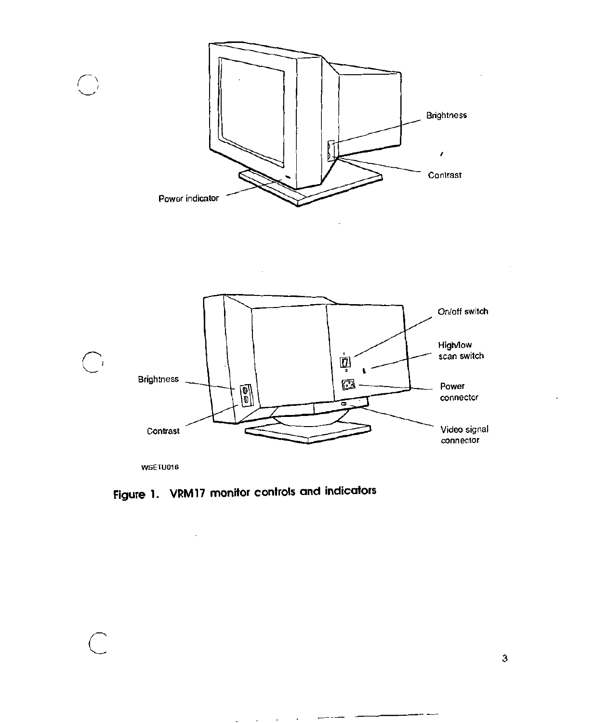

**Figure** 1. VRM 17 monitor controls and indicators

 $\mathcal{L}^{\pm}$  $\overline{\phantom{a}}$ 

 $\mathcal{L}^{\text{max}}$  , where  $\mathcal{L}^{\text{max}}$ 

 $\mathcal{L}$ 

 $\bigcap$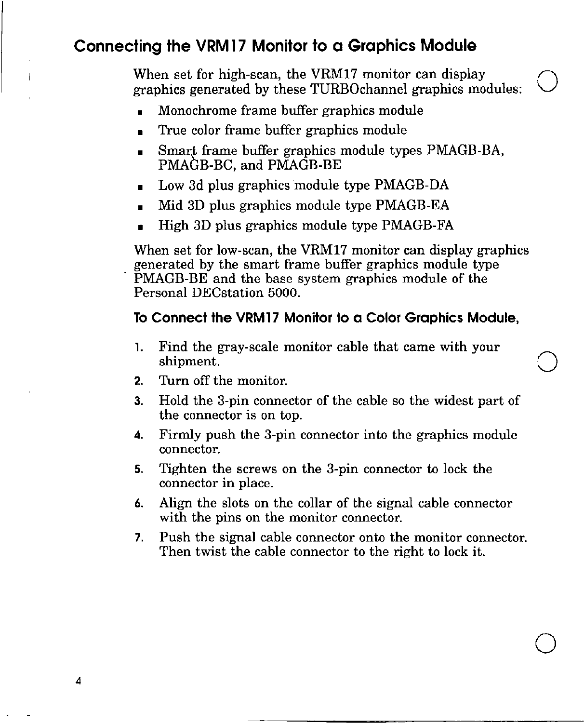# **Connecting the VRM 17 Monitor to a Graphics Module**

When set for high-scan, the VRM17 monitor can display graphics generated by these TURBOchannel graphics modules:

- Monochrome frame buffer graphics module
- True color frame buffer graphics module
- Smart frame buffer graphics module types PMAGB-BA, PMAGB-BC, and PMAGB-BE
- Low 3d plus graphics module type PMAGB-DA
- Mid 3D plus graphics module type PMAGB-EA
- High 3D plus graphics module type PMAGB-FA

When set for low-scan, the VRM17 monitor can display graphics generated by the smart frame buffer graphics module type PMAGB-BE and the base system graphics module of the Personal DECstation 5000.

#### **To Connect the VRM17 Monitor to a Color Graphics Module,**

- 1. Find the gray-scale monitor cable that came with your shipment.  $\bigcirc$
- **2.** Turn off the monitor.
- **3.** Hold the 3-pin connector of the cable so the widest part of the connector is on top.
- **4.** Firmly push the 3-pin connector into the graphics module connector.
- **5.** Tighten the screws on the 3-pin connector to lock the connector in place.
- **6.** Align the slots on the collar of the signal cable connector with the pins on the monitor connector.
- 7. Push the signal cable connector onto the monitor connector. Then twist the cable connector to the right to lock it.

 $\bigcirc$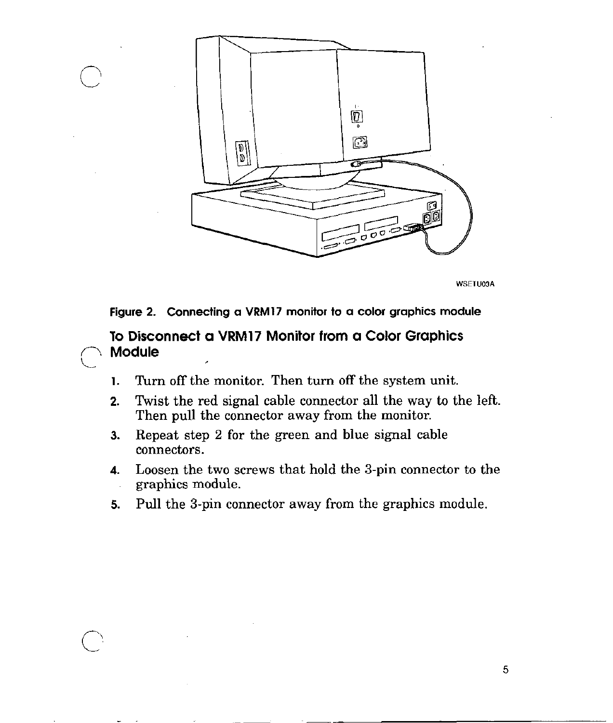

**WSETU03A** 



**To Disconnect a VRM17 Monitor from a Color Graphics**  *n* **Module** 

 $\bigcirc$ 

 $\setminus$ 

- **1.** Turn off the monitor. Then turn off the system unit.
- **2.** Twist the red signal cable connector all the way to the left. Then pull the connector away from the monitor.
- **3.** Repeat step 2 for the green and blue signal cable connectors.
- **4.** Loosen the two screws that hold the 3-pin connector to the graphics module.
- 5. Pull the 3-pin connector away from the graphics module.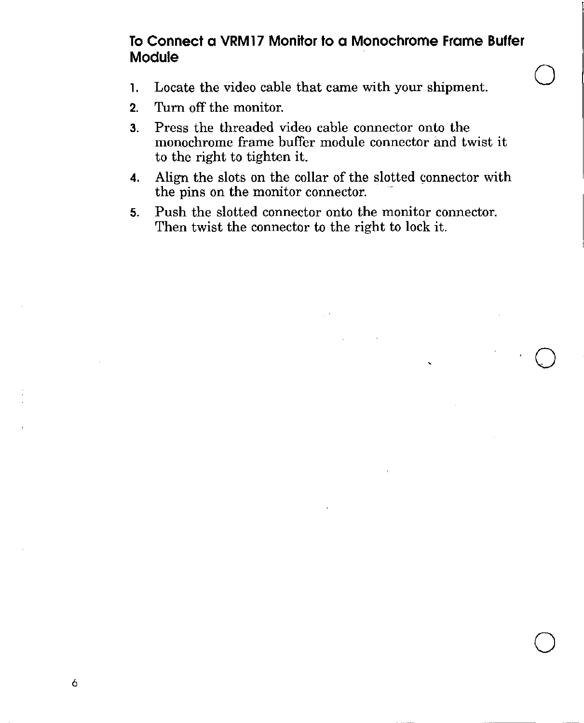### **To Connect a VRM17 Monitor to a Monochrome Frame Buffer Module**

 $\bigcirc$ 

·O

 $\bigcirc$ 

- l. Locate the video cable that came with your shipment.
- **2.** Turn off the monitor.
- **3.** Press the threaded video cable connector onto the monochrome frame buffer module connector and twist it to the right to tighten it.
- **4.** Align the slots on the collar of the slotted connector with the pins on the monitor connector.
- **5.** Push the slotted connector onto the monitor connector. Then twist the connector to the right to lock it.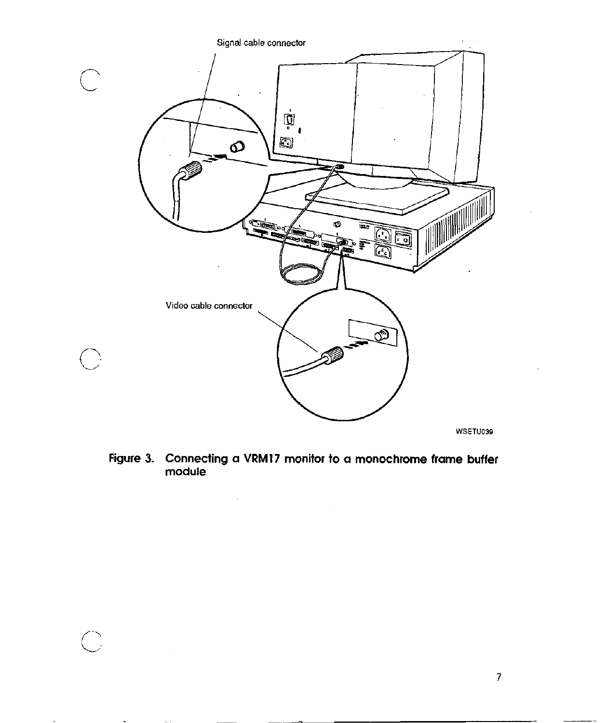

Figure 3. Connecting a VRM17 monitor to a monochrome frame buffer module

 $\cdot$ 

 $\overline{\mathbb{C}}$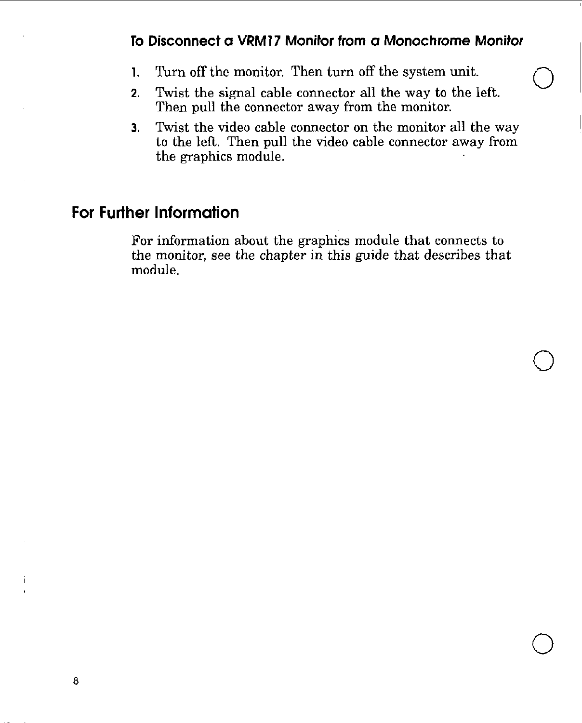## **To Disconnect a VRM17 Monitor from a Monochrome Monitor**

 $\bigcirc$ 

 $\bigcirc$ 

 $\bigcirc$ 

- 1. Turn off the monitor. Then turn off the system unit.
- **2.** Twist the signal cable connector all the way to the left. Then pull the connector away from the monitor.
- **3.** Twist the video cable connector on the monitor all the way to the left. Then pull the video cable connector away from the graphics module.

## **For Further Information**

For information about the graphics module that connects to the monitor, see the chapter in this guide that describes that module.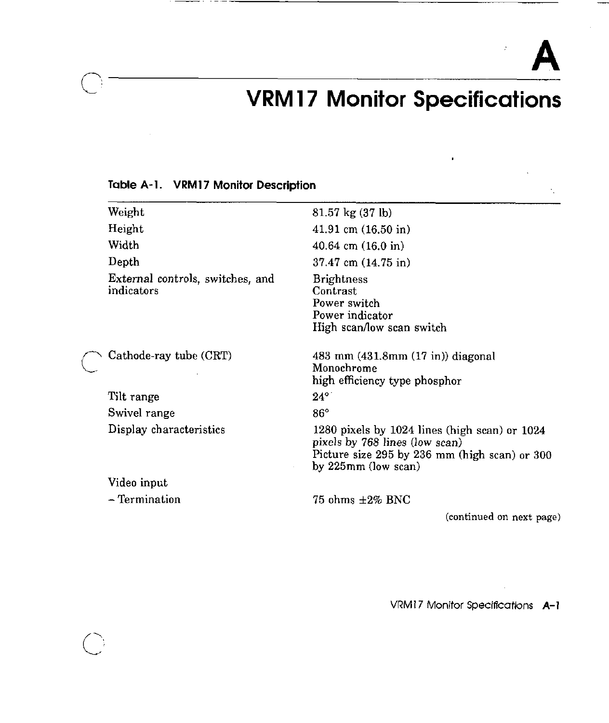$\hat{\mathcal{I}}$ 

# **VRM 17 Monitor Specifications**

| Weight                                         | $81.57 \text{ kg} (37 \text{ lb})$                                                                                                                          |
|------------------------------------------------|-------------------------------------------------------------------------------------------------------------------------------------------------------------|
| Height                                         | $41.91 \text{ cm } (16.50 \text{ in})$                                                                                                                      |
| Width                                          | $40.64$ cm $(16.0 \text{ in})$                                                                                                                              |
| Depth                                          | $37.47$ cm $(14.75)$ in                                                                                                                                     |
| External controls, switches, and<br>indicators | <b>Brightness</b><br>Contrast<br>Power switch<br>Power indicator<br>High scan/low scan switch                                                               |
| Cathode-ray tube (CRT)                         | 483 mm $(431.8 \text{mm} (17 \text{ in}))$ diagonal<br>Monochrome<br>high efficiency type phosphor                                                          |
| Tilt range                                     | $24^{\circ}$                                                                                                                                                |
| Swivel range                                   | $86^{\circ}$                                                                                                                                                |
| Display characteristics                        | 1280 pixels by $1024$ lines (high scan) or $1024$<br>pixels by 768 lines (low scan)<br>Picture size 295 by 236 mm (high scan) or 300<br>by 225mm (low scan) |
| Video input                                    |                                                                                                                                                             |

#### **Table A-l. VRM17 Monitor Description**

 $\bigcirc$ 

 $\bigcirc$ 

- Termination

75 ohms ±2% BNC

**(continued on next page)** 

VRM 17 Monitor Speclficattons **A-I**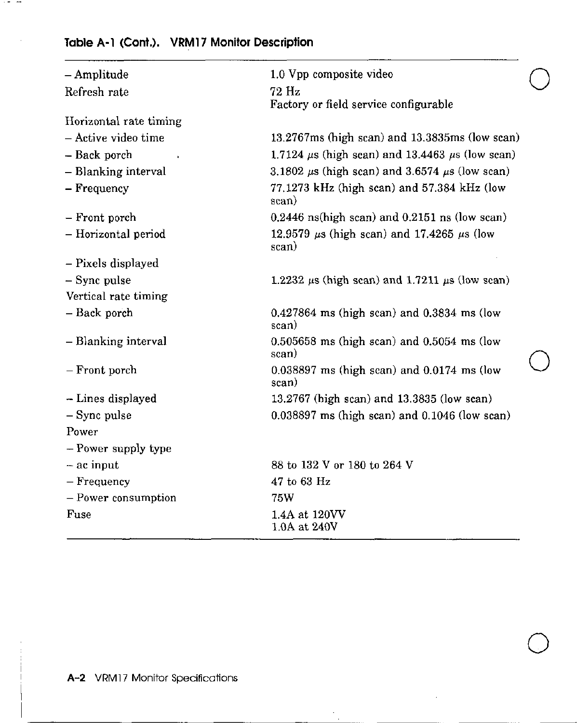## **Table A-1 (Cont.). VRMl 7 Monitor Description**

 $\sim$  -  $\sim$ 

| - Amplitude            | 1.0 Vpp composite video                                       |  |
|------------------------|---------------------------------------------------------------|--|
| Refresh rate           | 72 Hz<br>Factory or field service configurable                |  |
| Horizontal rate timing |                                                               |  |
| - Active video time    | $13.2767$ ms (high scan) and $13.3835$ ms (low scan)          |  |
| - Back porch           | 1.7124 $\mu$ s (high scan) and 13.4463 $\mu$ s (low scan)     |  |
| - Blanking interval    | 3.1802 $\mu$ s (high scan) and 3.6574 $\mu$ s (low scan)      |  |
| - Frequency            | 77.1273 kHz (high scan) and 57.384 kHz (low<br>scan)          |  |
| - Front porch          | $0.2446$ ns(high scan) and $0.2151$ ns (low scan)             |  |
| - Horizontal period    | 12.9579 $\mu$ s (high scan) and 17.4265 $\mu$ s (low<br>scan) |  |
| - Pixels displayed     |                                                               |  |
| $-$ Sync pulse         | 1.2232 $\mu$ s (high sean) and 1.7211 $\mu$ s (low sean)      |  |
| Vertical rate timing   |                                                               |  |
| - Back porch           | $0.427864$ ms (high scan) and $0.3834$ ms (low<br>scan)       |  |
| - Blanking interval    | $0.505658$ ms (high scan) and $0.5054$ ms (low<br>scan)       |  |
| - Front porch          | $0.038897$ ms (high scan) and $0.0174$ ms (low<br>scan)       |  |
| - Lines displayed      | 13.2767 (high scan) and 13.3835 (low scan)                    |  |
| $-$ Sync pulse         | $0.038897$ ms (high scan) and $0.1046$ (low scan)             |  |
| Power                  |                                                               |  |
| - Power supply type    |                                                               |  |
| - ac input             | 88 to 132 V or 180 to 264 V                                   |  |
| - Frequency            | 47 to 63 Hz                                                   |  |
| - Power consumption    | 75W                                                           |  |
| Fuse                   | 1.4A at 120VV<br>1.0A at 240V                                 |  |

 $\bigcirc$